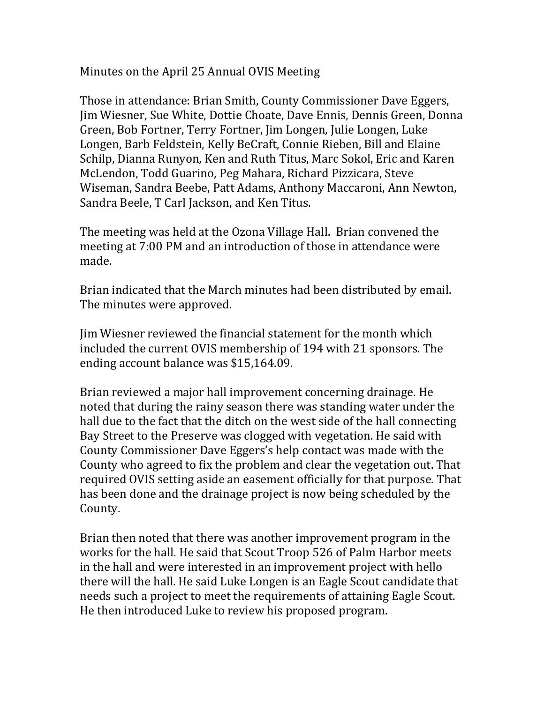Minutes on the April 25 Annual OVIS Meeting

Those in attendance: Brian Smith, County Commissioner Dave Eggers, Jim Wiesner, Sue White, Dottie Choate, Dave Ennis, Dennis Green, Donna Green, Bob Fortner, Terry Fortner, Jim Longen, Julie Longen, Luke Longen, Barb Feldstein, Kelly BeCraft, Connie Rieben, Bill and Elaine Schilp, Dianna Runyon, Ken and Ruth Titus, Marc Sokol, Eric and Karen McLendon, Todd Guarino, Peg Mahara, Richard Pizzicara, Steve Wiseman, Sandra Beebe, Patt Adams, Anthony Maccaroni, Ann Newton, Sandra Beele, T Carl Jackson, and Ken Titus.

The meeting was held at the Ozona Village Hall. Brian convened the meeting at 7:00 PM and an introduction of those in attendance were made.

Brian indicated that the March minutes had been distributed by email. The minutes were approved.

Jim Wiesner reviewed the financial statement for the month which included the current OVIS membership of 194 with 21 sponsors. The ending account balance was \$15,164.09.

Brian reviewed a major hall improvement concerning drainage. He noted that during the rainy season there was standing water under the hall due to the fact that the ditch on the west side of the hall connecting Bay Street to the Preserve was clogged with vegetation. He said with County Commissioner Dave Eggers's help contact was made with the County who agreed to fix the problem and clear the vegetation out. That required OVIS setting aside an easement officially for that purpose. That has been done and the drainage project is now being scheduled by the County.

Brian then noted that there was another improvement program in the works for the hall. He said that Scout Troop 526 of Palm Harbor meets in the hall and were interested in an improvement project with hello there will the hall. He said Luke Longen is an Eagle Scout candidate that needs such a project to meet the requirements of attaining Eagle Scout. He then introduced Luke to review his proposed program.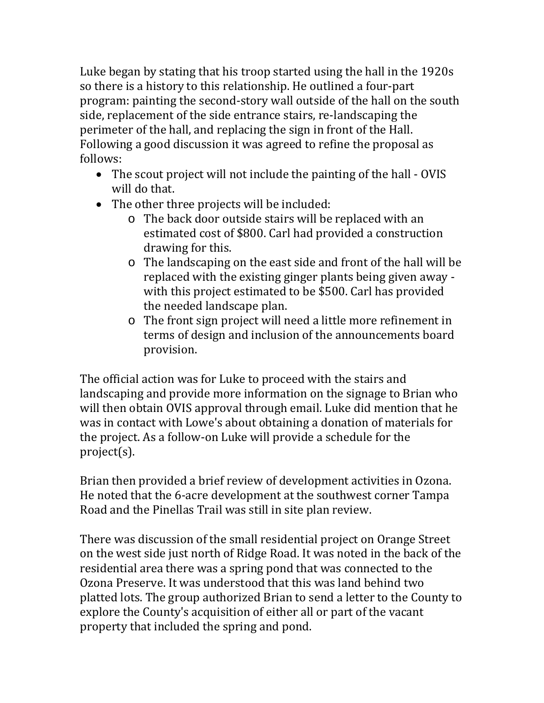Luke began by stating that his troop started using the hall in the 1920s so there is a history to this relationship. He outlined a four-part program: painting the second-story wall outside of the hall on the south side, replacement of the side entrance stairs, re-landscaping the perimeter of the hall, and replacing the sign in front of the Hall. Following a good discussion it was agreed to refine the proposal as follows:

- The scout project will not include the painting of the hall OVIS will do that.
- The other three projects will be included:
	- o The back door outside stairs will be replaced with an estimated cost of \$800. Carl had provided a construction drawing for this.
	- o The landscaping on the east side and front of the hall will be replaced with the existing ginger plants being given away with this project estimated to be \$500. Carl has provided the needed landscape plan.
	- o The front sign project will need a little more refinement in terms of design and inclusion of the announcements board provision.

The official action was for Luke to proceed with the stairs and landscaping and provide more information on the signage to Brian who will then obtain OVIS approval through email. Luke did mention that he was in contact with Lowe's about obtaining a donation of materials for the project. As a follow-on Luke will provide a schedule for the project(s).

Brian then provided a brief review of development activities in Ozona. He noted that the 6-acre development at the southwest corner Tampa Road and the Pinellas Trail was still in site plan review.

There was discussion of the small residential project on Orange Street on the west side just north of Ridge Road. It was noted in the back of the residential area there was a spring pond that was connected to the Ozona Preserve. It was understood that this was land behind two platted lots. The group authorized Brian to send a letter to the County to explore the County's acquisition of either all or part of the vacant property that included the spring and pond.